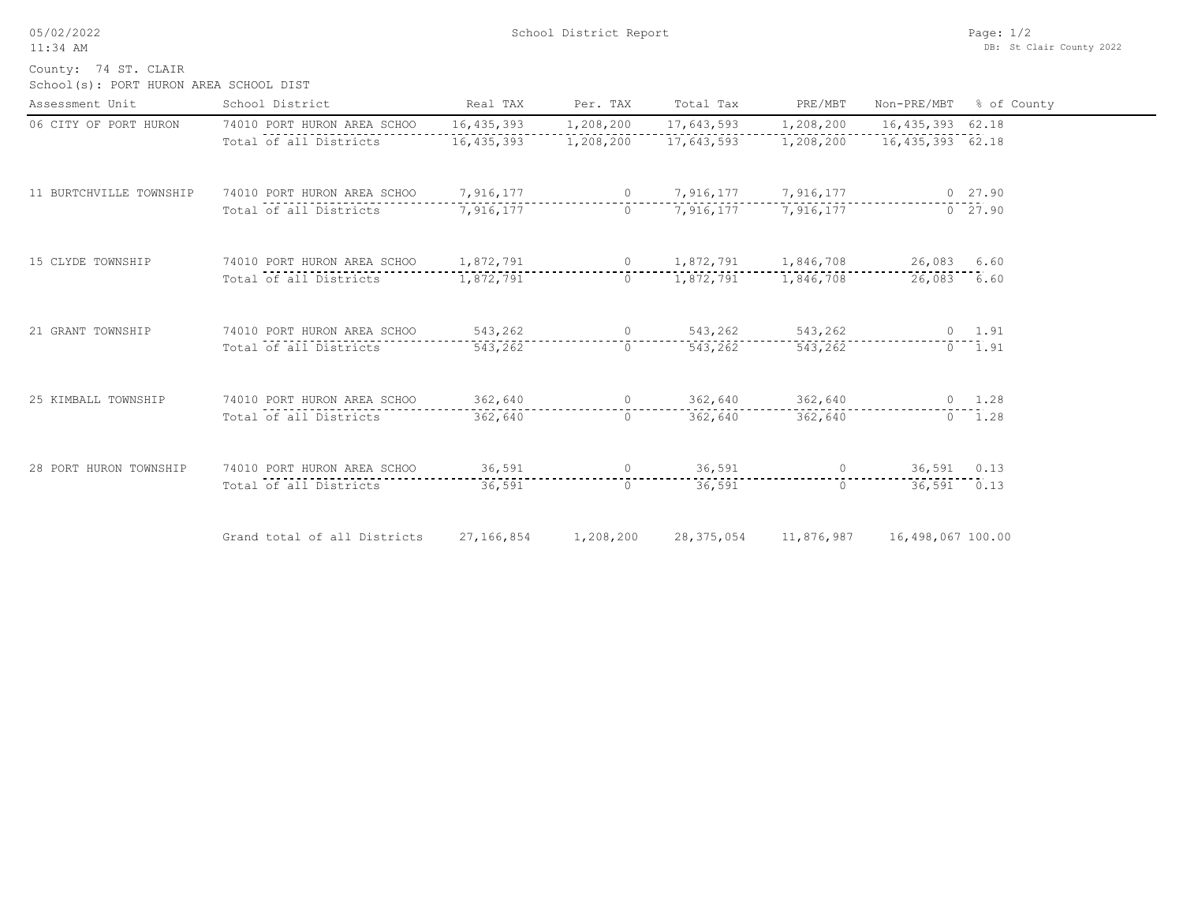05/02/2022 11:34 AM

 $\overline{\phantom{0}}$ 

County: 74 ST. CLAIR

School(s): PORT HURON AREA SCHOOL DIST

| Assessment Unit         | School District                       | Real TAX                    | Per. TAX  | Total Tax                 | PRE/MBT             | Non-PRE/MBT                                                                                                                                                                                                                                                                                                                                       | % of County    |
|-------------------------|---------------------------------------|-----------------------------|-----------|---------------------------|---------------------|---------------------------------------------------------------------------------------------------------------------------------------------------------------------------------------------------------------------------------------------------------------------------------------------------------------------------------------------------|----------------|
| 06 CITY OF PORT HURON   | 74010 PORT HURON AREA SCHOO           | 16, 435, 393                | 1,208,200 | 17,643,593                | 1,208,200           | 16,435,393 62.18                                                                                                                                                                                                                                                                                                                                  |                |
|                         | Total of all Districts                | 16,435,393                  | 1,208,200 | 17,643,593                | 1,208,200           | 16,435,393 62.18                                                                                                                                                                                                                                                                                                                                  |                |
| 11 BURTCHVILLE TOWNSHIP | 74010 PORT HURON AREA SCHOO           | 7,916,177                   |           | 0 $7,916,177$ $7,916,177$ |                     |                                                                                                                                                                                                                                                                                                                                                   | $0\quad 27.90$ |
|                         | Total of all Districts                | 7,916,177                   | $\Omega$  |                           | 7,916,177 7,916,177 |                                                                                                                                                                                                                                                                                                                                                   | 0, 27.90       |
| 15 CLYDE TOWNSHIP       | 74010 PORT HURON AREA SCHOO 1,872,791 |                             |           | 0 $1,872,791$ $1,846,708$ |                     | 26,083 6.60                                                                                                                                                                                                                                                                                                                                       |                |
|                         | Total of all Districts                | 1,872,791                   | $\Omega$  |                           | 1,872,791 1,846,708 | 26,083 6.60                                                                                                                                                                                                                                                                                                                                       |                |
| 21 GRANT TOWNSHIP       | 74010 PORT HURON AREA SCHOO           | $543,262$ 0 543,262 543,262 |           |                           |                     |                                                                                                                                                                                                                                                                                                                                                   | $0 \t 1.91$    |
|                         | Total of all Districts                | 543,262                     | $\circ$   | 543,262                   | 543,262             |                                                                                                                                                                                                                                                                                                                                                   | $0 \quad 1.91$ |
| 25 KIMBALL TOWNSHIP     | 74010 PORT HURON AREA SCHOO           | 362,640                     |           | $\overline{0}$<br>362,640 | 362,640             |                                                                                                                                                                                                                                                                                                                                                   | $0 \t 1.28$    |
|                         | Total of all Districts                | 362,640                     | $\Omega$  | 362,640                   | 362,640             |                                                                                                                                                                                                                                                                                                                                                   | $0 \t 1.28$    |
| 28 PORT HURON TOWNSHIP  | 74010 PORT HURON AREA SCHOO           | 36,591                      |           | 36,591<br>$\overline{0}$  |                     | $\overline{0}$ and $\overline{0}$ and $\overline{0}$ and $\overline{0}$ and $\overline{0}$ and $\overline{0}$ and $\overline{0}$ and $\overline{0}$ and $\overline{0}$ and $\overline{0}$ and $\overline{0}$ and $\overline{0}$ and $\overline{0}$ and $\overline{0}$ and $\overline{0}$ and $\overline{0}$ and $\overline{0}$ and<br>36,591 0.13 |                |
|                         | Total of all Districts                | 36,591                      | $\Omega$  | 36,591                    | $\Omega$            | $36,591$ 0.13                                                                                                                                                                                                                                                                                                                                     |                |
|                         | Grand total of all Districts          | 27,166,854                  | 1,208,200 | 28, 375, 054              | 11,876,987          | 16,498,067 100.00                                                                                                                                                                                                                                                                                                                                 |                |